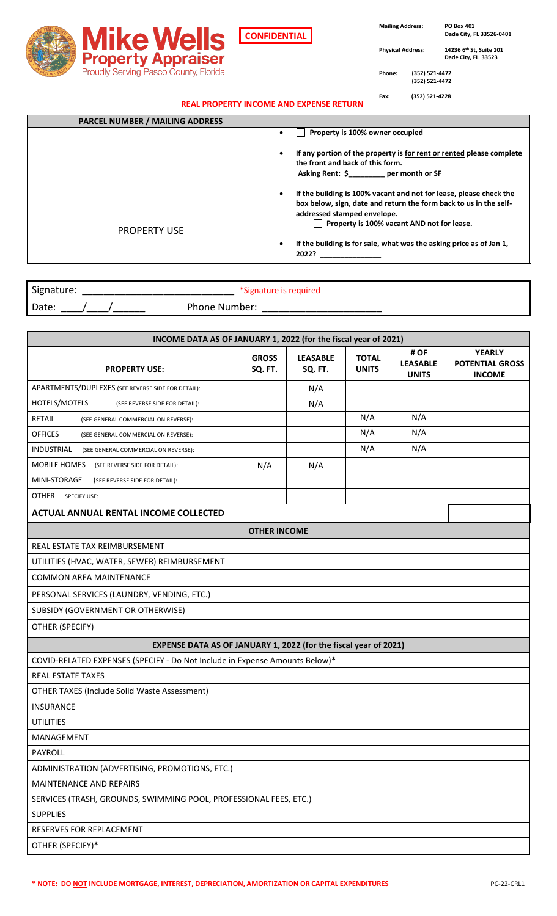

**CONFIDENTIAL**

 **Mailing Address: PO Box 401**

 **Dade City, FL 33526-0401**

**Physical Address: 14236 6th St, Suite 101 Dade City, FL 33523**

**Phone: (352) 521-4472 (352) 521-4472**

**Fax: (352) 521-4228**

| REAL PROPERTY INCOME AND EXPENSE RETURN |  |  |
|-----------------------------------------|--|--|
|                                         |  |  |

| <b>PARCEL NUMBER / MAILING ADDRESS</b> |                                                                                                                                         |
|----------------------------------------|-----------------------------------------------------------------------------------------------------------------------------------------|
|                                        | Property is 100% owner occupied                                                                                                         |
|                                        | If any portion of the property is for rent or rented please complete<br>the front and back of this form.                                |
|                                        | Asking Rent: \$ per month or SF                                                                                                         |
|                                        | If the building is 100% vacant and not for lease, please check the<br>box below, sign, date and return the form back to us in the self- |
|                                        | addressed stamped envelope.                                                                                                             |
| <b>PROPERTY USE</b>                    | Property is 100% vacant AND not for lease.                                                                                              |
|                                        | If the building is for sale, what was the asking price as of Jan 1,<br>2022?                                                            |

| Signature: | *Signature is required |
|------------|------------------------|
| Date:      | Phone Number:          |

| INCOME DATA AS OF JANUARY 1, 2022 (for the fiscal year of 2021)             |                         |                            |                              |                                         |                                                          |  |  |  |  |
|-----------------------------------------------------------------------------|-------------------------|----------------------------|------------------------------|-----------------------------------------|----------------------------------------------------------|--|--|--|--|
| <b>PROPERTY USE:</b>                                                        | <b>GROSS</b><br>SQ. FT. | <b>LEASABLE</b><br>SQ. FT. | <b>TOTAL</b><br><b>UNITS</b> | # OF<br><b>LEASABLE</b><br><b>UNITS</b> | <b>YEARLY</b><br><b>POTENTIAL GROSS</b><br><b>INCOME</b> |  |  |  |  |
| APARTMENTS/DUPLEXES (SEE REVERSE SIDE FOR DETAIL):                          |                         | N/A                        |                              |                                         |                                                          |  |  |  |  |
| HOTELS/MOTELS<br>(SEE REVERSE SIDE FOR DETAIL):                             |                         | N/A                        |                              |                                         |                                                          |  |  |  |  |
| RETAIL<br>(SEE GENERAL COMMERCIAL ON REVERSE):                              | N/A                     |                            |                              |                                         |                                                          |  |  |  |  |
| <b>OFFICES</b><br>(SEE GENERAL COMMERCIAL ON REVERSE):                      |                         |                            |                              |                                         |                                                          |  |  |  |  |
| INDUSTRIAL<br>(SEE GENERAL COMMERCIAL ON REVERSE):                          | N/A                     |                            |                              |                                         |                                                          |  |  |  |  |
| MOBILE HOMES<br>(SEE REVERSE SIDE FOR DETAIL):                              |                         |                            |                              |                                         |                                                          |  |  |  |  |
| MINI-STORAGE<br>(SEE REVERSE SIDE FOR DETAIL):                              |                         |                            |                              |                                         |                                                          |  |  |  |  |
| OTHER<br><b>SPECIFY USE:</b>                                                |                         |                            |                              |                                         |                                                          |  |  |  |  |
| <b>ACTUAL ANNUAL RENTAL INCOME COLLECTED</b>                                |                         |                            |                              |                                         |                                                          |  |  |  |  |
|                                                                             | <b>OTHER INCOME</b>     |                            |                              |                                         |                                                          |  |  |  |  |
| REAL ESTATE TAX REIMBURSEMENT                                               |                         |                            |                              |                                         |                                                          |  |  |  |  |
| UTILITIES (HVAC, WATER, SEWER) REIMBURSEMENT                                |                         |                            |                              |                                         |                                                          |  |  |  |  |
| <b>COMMON AREA MAINTENANCE</b>                                              |                         |                            |                              |                                         |                                                          |  |  |  |  |
| PERSONAL SERVICES (LAUNDRY, VENDING, ETC.)                                  |                         |                            |                              |                                         |                                                          |  |  |  |  |
| SUBSIDY (GOVERNMENT OR OTHERWISE)                                           |                         |                            |                              |                                         |                                                          |  |  |  |  |
| OTHER (SPECIFY)                                                             |                         |                            |                              |                                         |                                                          |  |  |  |  |
| EXPENSE DATA AS OF JANUARY 1, 2022 (for the fiscal year of 2021)            |                         |                            |                              |                                         |                                                          |  |  |  |  |
| COVID-RELATED EXPENSES (SPECIFY - Do Not Include in Expense Amounts Below)* |                         |                            |                              |                                         |                                                          |  |  |  |  |
| REAL ESTATE TAXES                                                           |                         |                            |                              |                                         |                                                          |  |  |  |  |
| OTHER TAXES (Include Solid Waste Assessment)                                |                         |                            |                              |                                         |                                                          |  |  |  |  |
| <b>INSURANCE</b>                                                            |                         |                            |                              |                                         |                                                          |  |  |  |  |
| <b>UTILITIES</b>                                                            |                         |                            |                              |                                         |                                                          |  |  |  |  |
| MANAGEMENT                                                                  |                         |                            |                              |                                         |                                                          |  |  |  |  |
| PAYROLL                                                                     |                         |                            |                              |                                         |                                                          |  |  |  |  |
| ADMINISTRATION (ADVERTISING, PROMOTIONS, ETC.)                              |                         |                            |                              |                                         |                                                          |  |  |  |  |
| MAINTENANCE AND REPAIRS                                                     |                         |                            |                              |                                         |                                                          |  |  |  |  |
| SERVICES (TRASH, GROUNDS, SWIMMING POOL, PROFESSIONAL FEES, ETC.)           |                         |                            |                              |                                         |                                                          |  |  |  |  |
| <b>SUPPLIES</b>                                                             |                         |                            |                              |                                         |                                                          |  |  |  |  |
| RESERVES FOR REPLACEMENT                                                    |                         |                            |                              |                                         |                                                          |  |  |  |  |
| OTHER (SPECIFY)*                                                            |                         |                            |                              |                                         |                                                          |  |  |  |  |